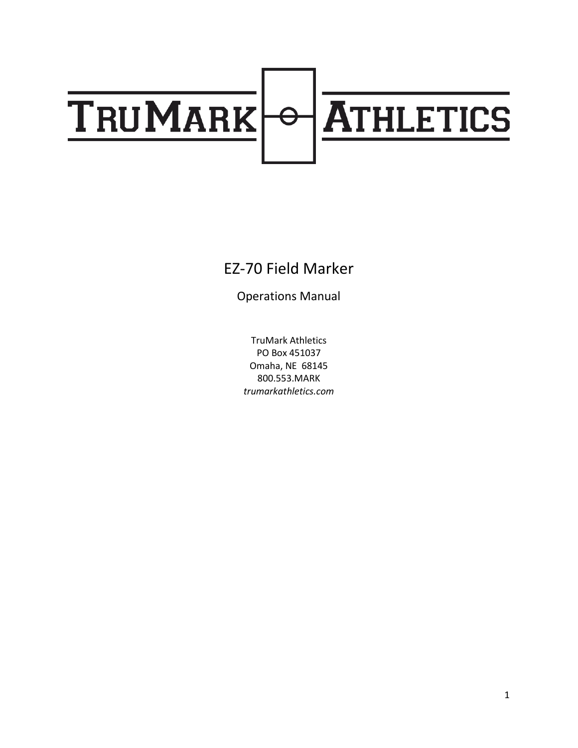# **TRUMARK** ATHLETICS  $\overline{\Theta}$

### EZ-70 Field Marker

Operations Manual

TruMark Athletics PO Box 451037 Omaha, NE 68145 800.553.MARK *trumarkathletics.com*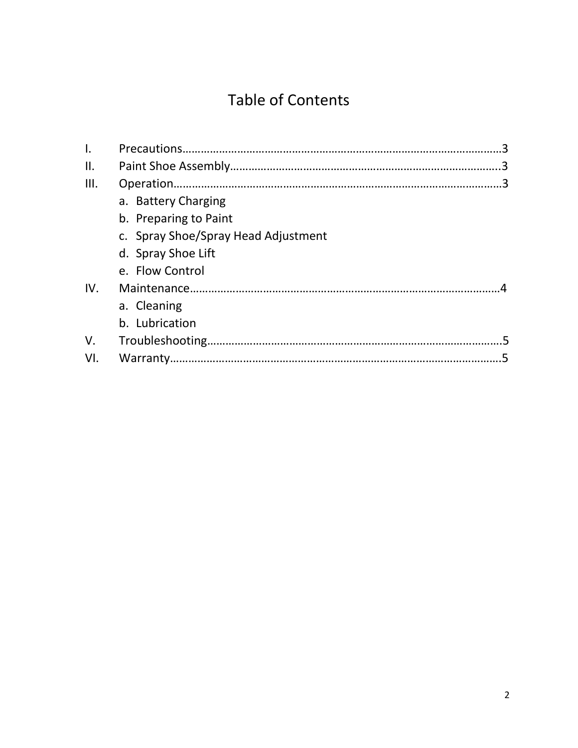## Table of Contents

| I.   |                                     |  |
|------|-------------------------------------|--|
| ΙΙ.  |                                     |  |
| III. |                                     |  |
|      | a. Battery Charging                 |  |
|      | b. Preparing to Paint               |  |
|      | c. Spray Shoe/Spray Head Adjustment |  |
|      | d. Spray Shoe Lift                  |  |
|      | e. Flow Control                     |  |
| IV.  |                                     |  |
|      | a. Cleaning                         |  |
|      | b. Lubrication                      |  |
| V.   |                                     |  |
| VI.  |                                     |  |
|      |                                     |  |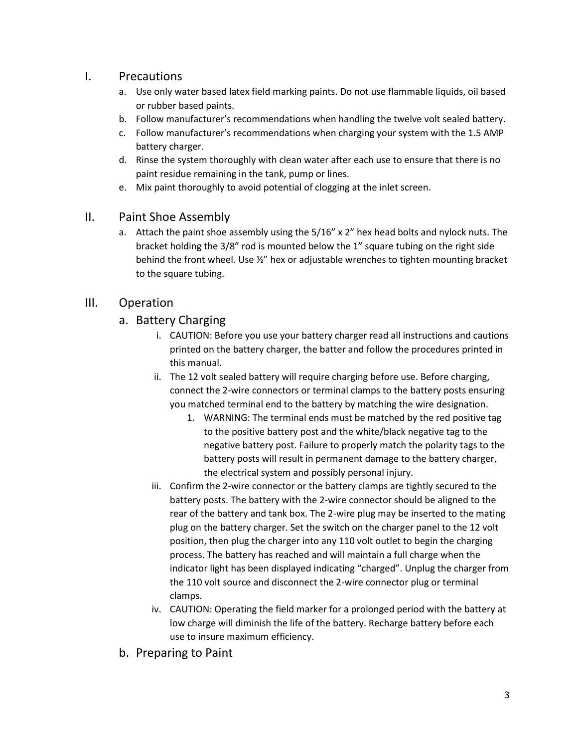#### I. Precautions

- a. Use only water based latex field marking paints. Do not use flammable liquids, oil based or rubber based paints.
- b. Follow manufacturer's recommendations when handling the twelve volt sealed battery.
- c. Follow manufacturer's recommendations when charging your system with the 1.5 AMP battery charger.
- d. Rinse the system thoroughly with clean water after each use to ensure that there is no paint residue remaining in the tank, pump or lines.
- e. Mix paint thoroughly to avoid potential of clogging at the inlet screen.

#### II. Paint Shoe Assembly

a. Attach the paint shoe assembly using the  $5/16''$  x 2" hex head bolts and nylock nuts. The bracket holding the 3/8" rod is mounted below the 1" square tubing on the right side behind the front wheel. Use ½" hex or adjustable wrenches to tighten mounting bracket to the square tubing.

#### III. Operation

#### a. Battery Charging

- i. CAUTION: Before you use your battery charger read all instructions and cautions printed on the battery charger, the batter and follow the procedures printed in this manual.
- ii. The 12 volt sealed battery will require charging before use. Before charging, connect the 2-wire connectors or terminal clamps to the battery posts ensuring you matched terminal end to the battery by matching the wire designation.
	- 1. WARNING: The terminal ends must be matched by the red positive tag to the positive battery post and the white/black negative tag to the negative battery post. Failure to properly match the polarity tags to the battery posts will result in permanent damage to the battery charger, the electrical system and possibly personal injury.
- iii. Confirm the 2-wire connector or the battery clamps are tightly secured to the battery posts. The battery with the 2-wire connector should be aligned to the rear of the battery and tank box. The 2-wire plug may be inserted to the mating plug on the battery charger. Set the switch on the charger panel to the 12 volt position, then plug the charger into any 110 volt outlet to begin the charging process. The battery has reached and will maintain a full charge when the indicator light has been displayed indicating "charged". Unplug the charger from the 110 volt source and disconnect the 2-wire connector plug or terminal clamps.
- iv. CAUTION: Operating the field marker for a prolonged period with the battery at low charge will diminish the life of the battery. Recharge battery before each use to insure maximum efficiency.
- b. Preparing to Paint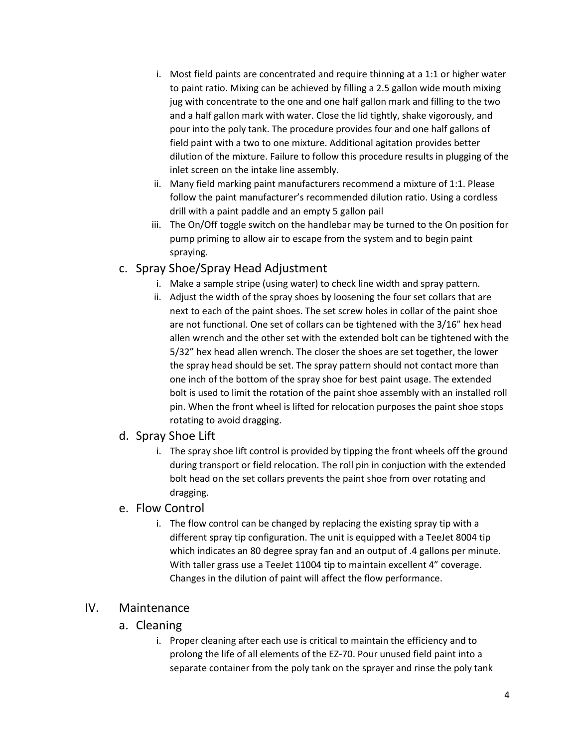- i. Most field paints are concentrated and require thinning at a 1:1 or higher water to paint ratio. Mixing can be achieved by filling a 2.5 gallon wide mouth mixing jug with concentrate to the one and one half gallon mark and filling to the two and a half gallon mark with water. Close the lid tightly, shake vigorously, and pour into the poly tank. The procedure provides four and one half gallons of field paint with a two to one mixture. Additional agitation provides better dilution of the mixture. Failure to follow this procedure results in plugging of the inlet screen on the intake line assembly.
- ii. Many field marking paint manufacturers recommend a mixture of 1:1. Please follow the paint manufacturer's recommended dilution ratio. Using a cordless drill with a paint paddle and an empty 5 gallon pail
- iii. The On/Off toggle switch on the handlebar may be turned to the On position for pump priming to allow air to escape from the system and to begin paint spraying.

#### c. Spray Shoe/Spray Head Adjustment

- i. Make a sample stripe (using water) to check line width and spray pattern.
- ii. Adjust the width of the spray shoes by loosening the four set collars that are next to each of the paint shoes. The set screw holes in collar of the paint shoe are not functional. One set of collars can be tightened with the 3/16" hex head allen wrench and the other set with the extended bolt can be tightened with the 5/32" hex head allen wrench. The closer the shoes are set together, the lower the spray head should be set. The spray pattern should not contact more than one inch of the bottom of the spray shoe for best paint usage. The extended bolt is used to limit the rotation of the paint shoe assembly with an installed roll pin. When the front wheel is lifted for relocation purposes the paint shoe stops rotating to avoid dragging.

#### d. Spray Shoe Lift

i. The spray shoe lift control is provided by tipping the front wheels off the ground during transport or field relocation. The roll pin in conjuction with the extended bolt head on the set collars prevents the paint shoe from over rotating and dragging.

#### e. Flow Control

i. The flow control can be changed by replacing the existing spray tip with a different spray tip configuration. The unit is equipped with a TeeJet 8004 tip which indicates an 80 degree spray fan and an output of .4 gallons per minute. With taller grass use a TeeJet 11004 tip to maintain excellent 4" coverage. Changes in the dilution of paint will affect the flow performance.

#### IV. Maintenance

- a. Cleaning
	- i. Proper cleaning after each use is critical to maintain the efficiency and to prolong the life of all elements of the EZ-70. Pour unused field paint into a separate container from the poly tank on the sprayer and rinse the poly tank